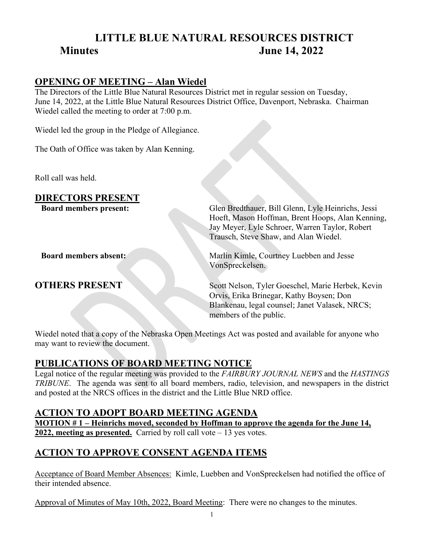# **LITTLE BLUE NATURAL RESOURCES DISTRICT Minutes June 14, 2022**

#### **OPENING OF MEETING – Alan Wiedel**

The Directors of the Little Blue Natural Resources District met in regular session on Tuesday, June 14, 2022, at the Little Blue Natural Resources District Office, Davenport, Nebraska. Chairman Wiedel called the meeting to order at 7:00 p.m.

Wiedel led the group in the Pledge of Allegiance.

The Oath of Office was taken by Alan Kenning.

Roll call was held.

#### **DIRECTORS PRESENT**

**Board members present:** Glen Bredthauer, Bill Glenn, Lyle Heinrichs, Jessi Hoeft, Mason Hoffman, Brent Hoops, Alan Kenning, Jay Meyer, Lyle Schroer, Warren Taylor, Robert Trausch, Steve Shaw, and Alan Wiedel.

**Board members absent:** Marlin Kimle, Courtney Luebben and Jesse VonSpreckelsen.

**OTHERS PRESENT** Scott Nelson, Tyler Goeschel, Marie Herbek, Kevin Orvis, Erika Brinegar, Kathy Boysen; Don Blankenau, legal counsel; Janet Valasek, NRCS; members of the public.

Wiedel noted that a copy of the Nebraska Open Meetings Act was posted and available for anyone who may want to review the document.

#### **PUBLICATIONS OF BOARD MEETING NOTICE**

Legal notice of the regular meeting was provided to the *FAIRBURY JOURNAL NEWS* and the *HASTINGS TRIBUNE*. The agenda was sent to all board members, radio, television, and newspapers in the district and posted at the NRCS offices in the district and the Little Blue NRD office.

#### **ACTION TO ADOPT BOARD MEETING AGENDA**

**MOTION # 1 – Heinrichs moved, seconded by Hoffman to approve the agenda for the June 14, 2022, meeting as presented.** Carried by roll call vote – 13 yes votes.

# **ACTION TO APPROVE CONSENT AGENDA ITEMS**

Acceptance of Board Member Absences: Kimle, Luebben and VonSpreckelsen had notified the office of their intended absence.

Approval of Minutes of May 10th, 2022, Board Meeting: There were no changes to the minutes.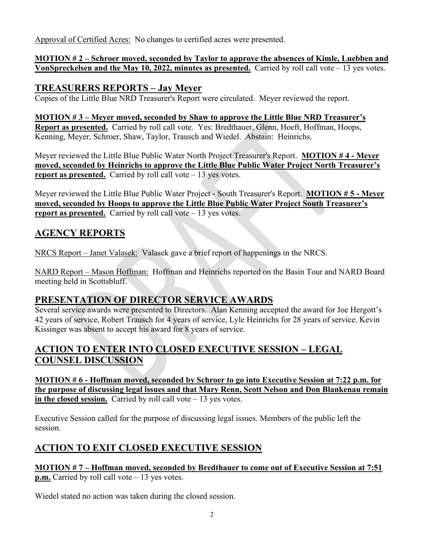Approval of Certified Acres: No changes to certified acres were presented.

#### **MOTION # 2 – Schroer moved, seconded by Taylor to approve the absences of Kimle, Luebben and VonSpreckelsen and the May 10, 2022, minutes as presented.** Carried by roll call vote – 13 yes votes.

## **TREASURERS REPORTS – Jay Meyer**

Copies of the Little Blue NRD Treasurer's Report were circulated. Meyer reviewed the report.

#### **MOTION # 3 – Meyer moved, seconded by Shaw to approve the Little Blue NRD Treasurer's Report as presented.** Carried by roll call vote. Yes: Bredthauer, Glenn, Hoeft, Hoffman, Hoops, Kenning, Meyer, Schroer, Shaw, Taylor, Trausch and Wiedel. Abstain: Heinrichs.

Meyer reviewed the Little Blue Public Water North Project Treasurer's Report. **MOTION # 4 - Meyer moved, seconded by Heinrichs to approve the Little Blue Public Water Project North Treasurer's report as presented.** Carried by roll call vote – 13 yes votes.

Meyer reviewed the Little Blue Public Water Project - South Treasurer's Report. **MOTION # 5 - Meyer moved, seconded by Hoops to approve the Little Blue Public Water Project South Treasurer's report as presented.** Carried by roll call vote – 13 yes votes.

# **AGENCY REPORTS**

NRCS Report – Janet Valasek: Valasek gave a brief report of happenings in the NRCS.

NARD Report – Mason Hoffman: Hoffman and Heinrichs reported on the Basin Tour and NARD Board meeting held in Scottsbluff.

# **PRESENTATION OF DIRECTOR SERVICE AWARDS**

Several service awards were presented to Directors. Alan Kenning accepted the award for Joe Hergott's 42 years of service, Robert Trausch for 4 years of service, Lyle Heinrichs for 28 years of service. Kevin Kissinger was absent to accept his award for 8 years of service.

# **ACTION TO ENTER INTO CLOSED EXECUTIVE SESSION – LEGAL COUNSEL DISCUSSION**

**MOTION # 6 - Hoffman moved, seconded by Schroer to go into Executive Session at 7:22 p.m. for the purpose of discussing legal issues and that Mary Renn, Scott Nelson and Don Blankenau remain in the closed session.** Carried by roll call vote – 13 yes votes.

Executive Session called for the purpose of discussing legal issues. Members of the public left the session.

# **ACTION TO EXIT CLOSED EXECUTIVE SESSION**

#### **MOTION # 7 – Hoffman moved, seconded by Bredthauer to come out of Executive Session at 7:51 p.m.** Carried by roll call vote – 13 yes votes.

Wiedel stated no action was taken during the closed session.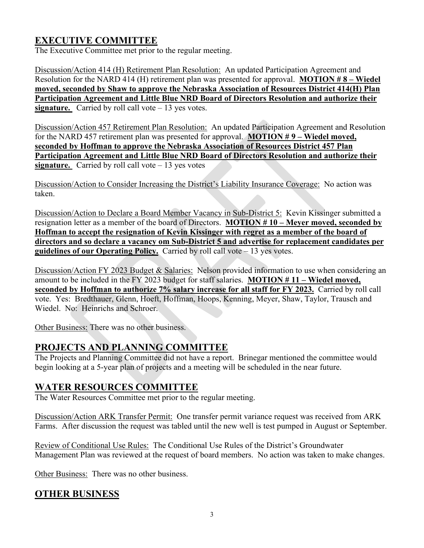# **EXECUTIVE COMMITTEE**

The Executive Committee met prior to the regular meeting.

Discussion/Action 414 (H) Retirement Plan Resolution: An updated Participation Agreement and Resolution for the NARD 414 (H) retirement plan was presented for approval. **MOTION # 8 – Wiedel moved, seconded by Shaw to approve the Nebraska Association of Resources District 414(H) Plan Participation Agreement and Little Blue NRD Board of Directors Resolution and authorize their signature.** Carried by roll call vote – 13 yes votes.

Discussion/Action 457 Retirement Plan Resolution: An updated Participation Agreement and Resolution for the NARD 457 retirement plan was presented for approval. **MOTION # 9 – Wiedel moved, seconded by Hoffman to approve the Nebraska Association of Resources District 457 Plan Participation Agreement and Little Blue NRD Board of Directors Resolution and authorize their signature.** Carried by roll call vote  $-13$  yes votes

Discussion/Action to Consider Increasing the District's Liability Insurance Coverage: No action was taken.

Discussion/Action to Declare a Board Member Vacancy in Sub-District 5: Kevin Kissinger submitted a resignation letter as a member of the board of Directors. **MOTION # 10 – Meyer moved, seconded by Hoffman to accept the resignation of Kevin Kissinger with regret as a member of the board of directors and so declare a vacancy om Sub-District 5 and advertise for replacement candidates per guidelines of our Operating Policy.** Carried by roll call vote – 13 yes votes.

Discussion/Action FY 2023 Budget & Salaries: Nelson provided information to use when considering an amount to be included in the FY 2023 budget for staff salaries. **MOTION # 11 – Wiedel moved,**  seconded by Hoffman to authorize 7% salary increase for all staff for FY 2023. Carried by roll call vote. Yes: Bredthauer, Glenn, Hoeft, Hoffman, Hoops, Kenning, Meyer, Shaw, Taylor, Trausch and Wiedel. No: Heinrichs and Schroer.

Other Business: There was no other business.

# **PROJECTS AND PLANNING COMMITTEE**

The Projects and Planning Committee did not have a report. Brinegar mentioned the committee would begin looking at a 5-year plan of projects and a meeting will be scheduled in the near future.

## **WATER RESOURCES COMMITTEE**

The Water Resources Committee met prior to the regular meeting.

Discussion/Action ARK Transfer Permit: One transfer permit variance request was received from ARK Farms. After discussion the request was tabled until the new well is test pumped in August or September.

Review of Conditional Use Rules: The Conditional Use Rules of the District's Groundwater Management Plan was reviewed at the request of board members. No action was taken to make changes.

Other Business: There was no other business.

## **OTHER BUSINESS**